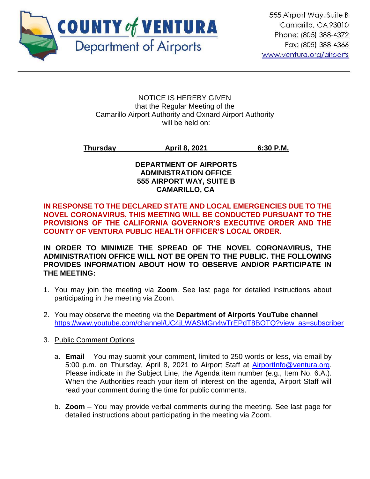

#### NOTICE IS HEREBY GIVEN that the Regular Meeting of the Camarillo Airport Authority and Oxnard Airport Authority will be held on:

# **Thursday April 8, 2021 6:30 P.M.**

### **DEPARTMENT OF AIRPORTS ADMINISTRATION OFFICE 555 AIRPORT WAY, SUITE B CAMARILLO, CA**

# **IN RESPONSE TO THE DECLARED STATE AND LOCAL EMERGENCIES DUE TO THE NOVEL CORONAVIRUS, THIS MEETING WILL BE CONDUCTED PURSUANT TO THE PROVISIONS OF THE CALIFORNIA GOVERNOR'S EXECUTIVE ORDER AND THE COUNTY OF VENTURA PUBLIC HEALTH OFFICER'S LOCAL ORDER.**

**IN ORDER TO MINIMIZE THE SPREAD OF THE NOVEL CORONAVIRUS, THE ADMINISTRATION OFFICE WILL NOT BE OPEN TO THE PUBLIC. THE FOLLOWING PROVIDES INFORMATION ABOUT HOW TO OBSERVE AND/OR PARTICIPATE IN THE MEETING:**

- 1. You may join the meeting via **Zoom**. See last page for detailed instructions about participating in the meeting via Zoom.
- 2. You may observe the meeting via the **Department of Airports YouTube channel** [https://www.youtube.com/channel/UC4jLWASMGn4wTrEPdT8BOTQ?view\\_as=subscriber](https://www.youtube.com/channel/UC4jLWASMGn4wTrEPdT8BOTQ?view_as=subscriber)
- 3. Public Comment Options
	- a. **Email**  You may submit your comment, limited to 250 words or less, via email by 5:00 p.m. on Thursday, April 8, 2021 to Airport Staff at [AirportInfo@ventura.org.](mailto:AirportInfo@ventura.org) Please indicate in the Subject Line, the Agenda item number (e.g., Item No. 6.A.). When the Authorities reach your item of interest on the agenda, Airport Staff will read your comment during the time for public comments.
	- b. **Zoom** You may provide verbal comments during the meeting. See last page for detailed instructions about participating in the meeting via Zoom.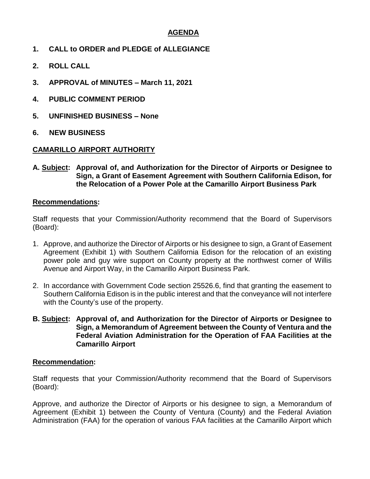# **AGENDA**

- **1. CALL to ORDER and PLEDGE of ALLEGIANCE**
- **2. ROLL CALL**
- **3. APPROVAL of MINUTES – March 11, 2021**
- **4. PUBLIC COMMENT PERIOD**
- **5. UNFINISHED BUSINESS – None**
- **6. NEW BUSINESS**

#### **CAMARILLO AIRPORT AUTHORITY**

**A. Subject: Approval of, and Authorization for the Director of Airports or Designee to Sign, a Grant of Easement Agreement with Southern California Edison, for the Relocation of a Power Pole at the Camarillo Airport Business Park**

#### **Recommendations:**

Staff requests that your Commission/Authority recommend that the Board of Supervisors (Board):

- 1. Approve, and authorize the Director of Airports or his designee to sign, a Grant of Easement Agreement (Exhibit 1) with Southern California Edison for the relocation of an existing power pole and guy wire support on County property at the northwest corner of Willis Avenue and Airport Way, in the Camarillo Airport Business Park.
- 2. In accordance with Government Code section 25526.6, find that granting the easement to Southern California Edison is in the public interest and that the conveyance will not interfere with the County's use of the property.
- **B. Subject: Approval of, and Authorization for the Director of Airports or Designee to Sign, a Memorandum of Agreement between the County of Ventura and the Federal Aviation Administration for the Operation of FAA Facilities at the Camarillo Airport**

#### **Recommendation:**

Staff requests that your Commission/Authority recommend that the Board of Supervisors (Board):

Approve, and authorize the Director of Airports or his designee to sign, a Memorandum of Agreement (Exhibit 1) between the County of Ventura (County) and the Federal Aviation Administration (FAA) for the operation of various FAA facilities at the Camarillo Airport which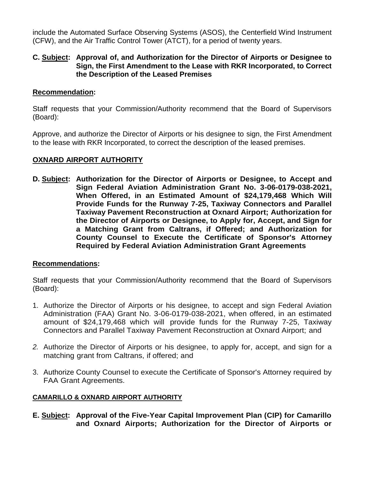include the Automated Surface Observing Systems (ASOS), the Centerfield Wind Instrument (CFW), and the Air Traffic Control Tower (ATCT), for a period of twenty years.

# **C. Subject: Approval of, and Authorization for the Director of Airports or Designee to Sign, the First Amendment to the Lease with RKR Incorporated, to Correct the Description of the Leased Premises**

# **Recommendation:**

Staff requests that your Commission/Authority recommend that the Board of Supervisors (Board):

Approve, and authorize the Director of Airports or his designee to sign, the First Amendment to the lease with RKR Incorporated, to correct the description of the leased premises.

# **OXNARD AIRPORT AUTHORITY**

**D. Subject: Authorization for the Director of Airports or Designee, to Accept and Sign Federal Aviation Administration Grant No. 3-06-0179-038-2021, When Offered, in an Estimated Amount of \$24,179,468 Which Will Provide Funds for the Runway 7-25, Taxiway Connectors and Parallel Taxiway Pavement Reconstruction at Oxnard Airport; Authorization for the Director of Airports or Designee, to Apply for, Accept, and Sign for a Matching Grant from Caltrans, if Offered; and Authorization for County Counsel to Execute the Certificate of Sponsor's Attorney Required by Federal Aviation Administration Grant Agreements**

#### **Recommendations:**

Staff requests that your Commission/Authority recommend that the Board of Supervisors (Board):

- 1. Authorize the Director of Airports or his designee, to accept and sign Federal Aviation Administration (FAA) Grant No. 3-06-0179-038-2021, when offered, in an estimated amount of \$24,179,468 which will provide funds for the Runway 7-25, Taxiway Connectors and Parallel Taxiway Pavement Reconstruction at Oxnard Airport; and
- *2.* Authorize the Director of Airports or his designee, to apply for, accept, and sign for a matching grant from Caltrans, if offered; and
- 3. Authorize County Counsel to execute the Certificate of Sponsor's Attorney required by FAA Grant Agreements.

# **CAMARILLO & OXNARD AIRPORT AUTHORITY**

**E. Subject: Approval of the Five-Year Capital Improvement Plan (CIP) for Camarillo and Oxnard Airports; Authorization for the Director of Airports or**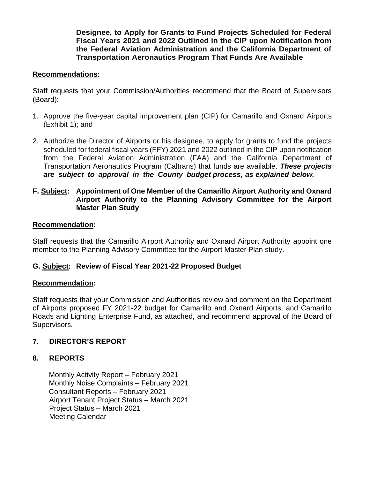**Designee, to Apply for Grants to Fund Projects Scheduled for Federal Fiscal Years 2021 and 2022 Outlined in the CIP upon Notification from the Federal Aviation Administration and the California Department of Transportation Aeronautics Program That Funds Are Available**

### **Recommendations:**

Staff requests that your Commission/Authorities recommend that the Board of Supervisors (Board):

- 1. Approve the five-year capital improvement plan (CIP) for Camarillo and Oxnard Airports (Exhibit 1); and
- 2. Authorize the Director of Airports or his designee, to apply for grants to fund the projects scheduled for federal fiscal years (FFY) 2021 and 2022 outlined in the CIP upon notification from the Federal Aviation Administration (FAA) and the California Department of Transportation Aeronautics Program (Caltrans) that funds are available. *These projects are subject to approval in the County budget process, as explained below.*

#### **F. Subject: Appointment of One Member of the Camarillo Airport Authority and Oxnard Airport Authority to the Planning Advisory Committee for the Airport Master Plan Study**

#### **Recommendation:**

Staff requests that the Camarillo Airport Authority and Oxnard Airport Authority appoint one member to the Planning Advisory Committee for the Airport Master Plan study.

# **G. Subject: Review of Fiscal Year 2021-22 Proposed Budget**

#### **Recommendation:**

Staff requests that your Commission and Authorities review and comment on the Department of Airports proposed FY 2021-22 budget for Camarillo and Oxnard Airports; and Camarillo Roads and Lighting Enterprise Fund, as attached, and recommend approval of the Board of Supervisors.

# **7. DIRECTOR'S REPORT**

# **8. REPORTS**

Monthly Activity Report – February 2021 Monthly Noise Complaints – February 2021 Consultant Reports – February 2021 Airport Tenant Project Status – March 2021 Project Status – March 2021 Meeting Calendar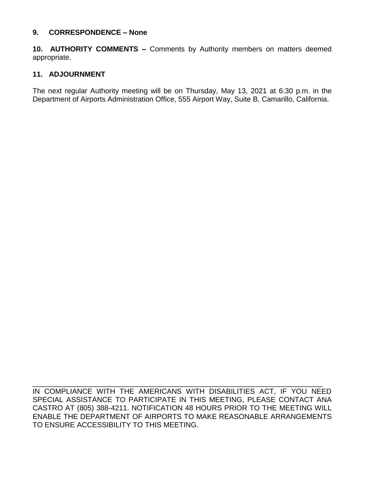### **9. CORRESPONDENCE – None**

**10. AUTHORITY COMMENTS –** Comments by Authority members on matters deemed appropriate.

# **11. ADJOURNMENT**

The next regular Authority meeting will be on Thursday, May 13, 2021 at 6:30 p.m. in the Department of Airports Administration Office, 555 Airport Way, Suite B, Camarillo, California.

IN COMPLIANCE WITH THE AMERICANS WITH DISABILITIES ACT, IF YOU NEED SPECIAL ASSISTANCE TO PARTICIPATE IN THIS MEETING, PLEASE CONTACT ANA CASTRO AT (805) 388-4211. NOTIFICATION 48 HOURS PRIOR TO THE MEETING WILL ENABLE THE DEPARTMENT OF AIRPORTS TO MAKE REASONABLE ARRANGEMENTS TO ENSURE ACCESSIBILITY TO THIS MEETING.

\_\_\_\_\_\_\_\_\_\_\_\_\_\_\_\_\_\_\_\_\_\_\_\_\_\_\_\_\_\_\_\_\_\_\_\_\_\_\_\_\_\_\_\_\_\_\_\_\_\_\_\_\_\_\_\_\_\_\_\_\_\_\_\_\_\_\_\_\_\_\_\_